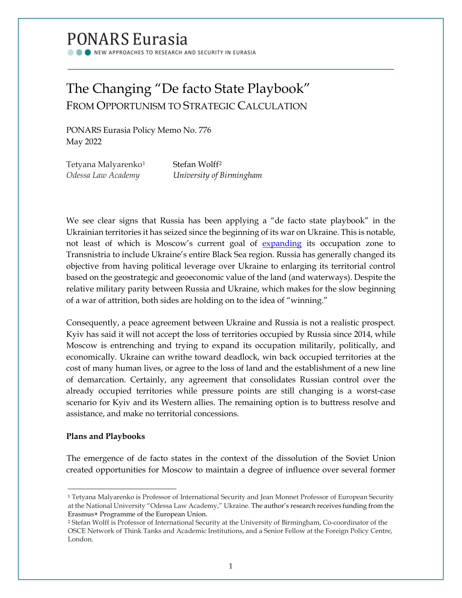# PONARS Eurasia

NEW APPROACHES TO RESEARCH AND SECURITY IN EURASIA

## The Changing "De facto State Playbook" FROM OPPORTUNISM TO STRATEGIC CALCULATION

PONARS Eurasia Policy Memo No. 776 May 2022

| Tetyana Malyarenko <sup>1</sup> | Stefan Wolff <sup>2</sup> |
|---------------------------------|---------------------------|
| Odessa Law Academy              | University of Birmingham  |

We see clear signs that Russia has been applying a "de facto state playbook" in the Ukrainian territories it has seized since the beginning of its war on Ukraine. This is notable, not least of which is Moscow's current goal of [expanding](https://www.nytimes.com/interactive/2022/world/europe/ukraine-maps.html) its occupation zone to Transnistria to include Ukraine's entire Black Sea region. Russia has generally changed its objective from having political leverage over Ukraine to enlarging its territorial control based on the geostrategic and geoeconomic value of the land (and waterways). Despite the relative military parity between Russia and Ukraine, which makes for the slow beginning of a war of attrition, both sides are holding on to the idea of "winning."

Consequently, a peace agreement between Ukraine and Russia is not a realistic prospect. Kyiv has said it will not accept the loss of territories occupied by Russia since 2014, while Moscow is entrenching and trying to expand its occupation militarily, politically, and economically. Ukraine can writhe toward deadlock, win back occupied territories at the cost of many human lives, or agree to the loss of land and the establishment of a new line of demarcation. Certainly, any agreement that consolidates Russian control over the already occupied territories while pressure points are still changing is a worst-case scenario for Kyiv and its Western allies. The remaining option is to buttress resolve and assistance, and make no territorial concessions.

## **Plans and Playbooks**

The emergence of de facto states in the context of the dissolution of the Soviet Union created opportunities for Moscow to maintain a degree of influence over several former

<span id="page-0-0"></span><sup>1</sup> Tetyana Malyarenko is Professor of International Security and Jean Monnet Professor of European Security at the National University "Odessa Law Academy," Ukraine. The author's research receives funding from the Erasmus+ Programme of the European Union.

<span id="page-0-1"></span><sup>2</sup> Stefan Wolff is Professor of International Security at the University of Birmingham, Co-coordinator of the OSCE Network of Think Tanks and Academic Institutions, and a Senior Fellow at the Foreign Policy Centre, London.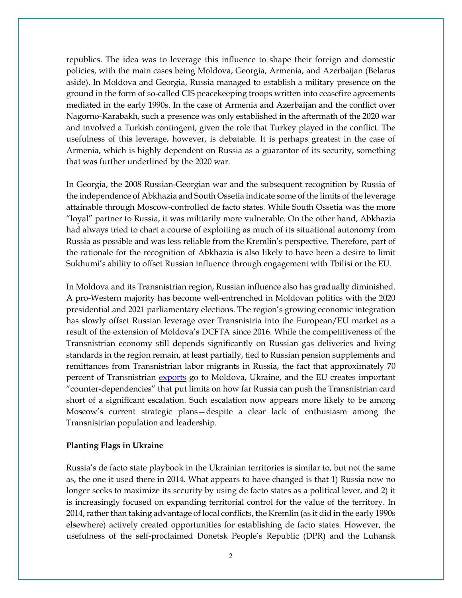republics. The idea was to leverage this influence to shape their foreign and domestic policies, with the main cases being Moldova, Georgia, Armenia, and Azerbaijan (Belarus aside). In Moldova and Georgia, Russia managed to establish a military presence on the ground in the form of so-called CIS peacekeeping troops written into ceasefire agreements mediated in the early 1990s. In the case of Armenia and Azerbaijan and the conflict over Nagorno-Karabakh, such a presence was only established in the aftermath of the 2020 war and involved a Turkish contingent, given the role that Turkey played in the conflict. The usefulness of this leverage, however, is debatable. It is perhaps greatest in the case of Armenia, which is highly dependent on Russia as a guarantor of its security, something that was further underlined by the 2020 war.

In Georgia, the 2008 Russian-Georgian war and the subsequent recognition by Russia of the independence of Abkhazia and South Ossetia indicate some of the limits of the leverage attainable through Moscow-controlled de facto states. While South Ossetia was the more "loyal" partner to Russia, it was militarily more vulnerable. On the other hand, Abkhazia had always tried to chart a course of exploiting as much of its situational autonomy from Russia as possible and was less reliable from the Kremlin's perspective. Therefore, part of the rationale for the recognition of Abkhazia is also likely to have been a desire to limit Sukhumi's ability to offset Russian influence through engagement with Tbilisi or the EU.

In Moldova and its Transnistrian region, Russian influence also has gradually diminished. A pro-Western majority has become well-entrenched in Moldovan politics with the 2020 presidential and 2021 parliamentary elections. The region's growing economic integration has slowly offset Russian leverage over Transnistria into the European/EU market as a result of the extension of Moldova's DCFTA since 2016. While the competitiveness of the Transnistrian economy still depends significantly on Russian gas deliveries and living standards in the region remain, at least partially, tied to Russian pension supplements and remittances from Transnistrian labor migrants in Russia, the fact that approximately 70 percent of Transnistrian [exports](https://www.vox.com/2022/5/9/23060272/ukraine-war-moldova-transnistria-russia-spillover) go to Moldova, Ukraine, and the EU creates important "counter-dependencies" that put limits on how far Russia can push the Transnistrian card short of a significant escalation. Such escalation now appears more likely to be among Moscow's current strategic plans—despite a clear lack of enthusiasm among the Transnistrian population and leadership.

#### **Planting Flags in Ukraine**

Russia's de facto state playbook in the Ukrainian territories is similar to, but not the same as, the one it used there in 2014. What appears to have changed is that 1) Russia now no longer seeks to maximize its security by using de facto states as a political lever, and 2) it is increasingly focused on expanding territorial control for the value of the territory. In 2014, rather than taking advantage of local conflicts, the Kremlin (as it did in the early 1990s elsewhere) actively created opportunities for establishing de facto states. However, the usefulness of the self-proclaimed Donetsk People's Republic (DPR) and the Luhansk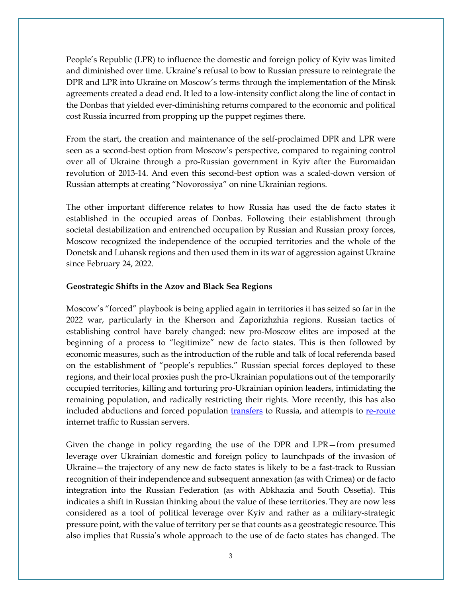People's Republic (LPR) to influence the domestic and foreign policy of Kyiv was limited and diminished over time. Ukraine's refusal to bow to Russian pressure to reintegrate the DPR and LPR into Ukraine on Moscow's terms through the implementation of the Minsk agreements created a dead end. It led to a low-intensity conflict along the line of contact in the Donbas that yielded ever-diminishing returns compared to the economic and political cost Russia incurred from propping up the puppet regimes there.

From the start, the creation and maintenance of the self-proclaimed DPR and LPR were seen as a second-best option from Moscow's perspective, compared to regaining control over all of Ukraine through a pro-Russian government in Kyiv after the Euromaidan revolution of 2013-14. And even this second-best option was a scaled-down version of Russian attempts at creating "Novorossiya" on nine Ukrainian regions.

The other important difference relates to how Russia has used the de facto states it established in the occupied areas of Donbas. Following their establishment through societal destabilization and entrenched occupation by Russian and Russian proxy forces, Moscow recognized the independence of the occupied territories and the whole of the Donetsk and Luhansk regions and then used them in its war of aggression against Ukraine since February 24, 2022.

### **Geostrategic Shifts in the Azov and Black Sea Regions**

Moscow's "forced" playbook is being applied again in territories it has seized so far in the 2022 war, particularly in the Kherson and Zaporizhzhia regions. Russian tactics of establishing control have barely changed: new pro-Moscow elites are imposed at the beginning of a process to "legitimize" new de facto states. This is then followed by economic measures, such as the introduction of the ruble and talk of local referenda based on the establishment of "people's republics." Russian special forces deployed to these regions, and their local proxies push the pro-Ukrainian populations out of the temporarily occupied territories, killing and torturing pro-Ukrainian opinion leaders, intimidating the remaining population, and radically restricting their rights. More recently, this has also included abductions and forced population [transfers](https://www.france24.com/en/europe/20220329-russian-forces-are-abducting-ukrainians-in-occupied-territories) to Russia, and attempts to [re-route](https://www.reuters.com/world/europe/russia-reroutes-internet-traffic-occupied-ukraine-its-infrastructure-2022-05-02/) internet traffic to Russian servers.

Given the change in policy regarding the use of the DPR and LPR—from presumed leverage over Ukrainian domestic and foreign policy to launchpads of the invasion of Ukraine—the trajectory of any new de facto states is likely to be a fast-track to Russian recognition of their independence and subsequent annexation (as with Crimea) or de facto integration into the Russian Federation (as with Abkhazia and South Ossetia). This indicates a shift in Russian thinking about the value of these territories. They are now less considered as a tool of political leverage over Kyiv and rather as a military-strategic pressure point, with the value of territory per se that counts as a geostrategic resource. This also implies that Russia's whole approach to the use of de facto states has changed. The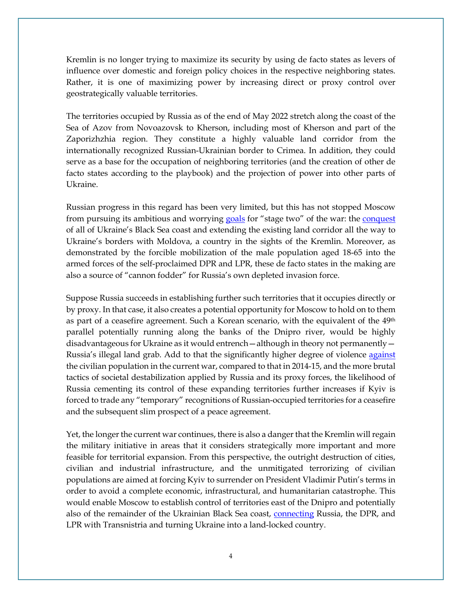Kremlin is no longer trying to maximize its security by using de facto states as levers of influence over domestic and foreign policy choices in the respective neighboring states. Rather, it is one of maximizing power by increasing direct or proxy control over geostrategically valuable territories.

The territories occupied by Russia as of the end of May 2022 stretch along the coast of the Sea of Azov from Novoazovsk to Kherson, including most of Kherson and part of the Zaporizhzhia region. They constitute a highly valuable land corridor from the internationally recognized Russian-Ukrainian border to Crimea. In addition, they could serve as a base for the occupation of neighboring territories (and the creation of other de facto states according to the playbook) and the projection of power into other parts of Ukraine.

Russian progress in this regard has been very limited, but this has not stopped Moscow from pursuing its ambitious and worrying [goals](https://www.russia-briefing.com/news/russia-s-ukraine-objectives-have-become-clear-control-of-the-black-sea.html/) for "stage two" of the war: the conquest of all of Ukraine's Black Sea coast and extending the existing land corridor all the way to Ukraine's borders with Moldova, a country in the sights of the Kremlin. Moreover, as demonstrated by the forcible mobilization of the male population aged 18-65 into the armed forces of the self-proclaimed DPR and LPR, these de facto states in the making are also a source of "cannon fodder" for Russia's own depleted invasion force.

Suppose Russia succeeds in establishing further such territories that it occupies directly or by proxy. In that case, it also creates a potential opportunity for Moscow to hold on to them as part of a ceasefire agreement. Such a Korean scenario, with the equivalent of the 49<sup>th</sup> parallel potentially running along the banks of the Dnipro river, would be highly disadvantageous for Ukraine as it would entrench—although in theory not permanently— Russia's illegal land grab. Add to that the significantly higher degree of violence [against](https://www.amnesty.org/en/latest/news/2022/04/ukraine-russias-cruel-siege-warfare-tactics-unlawfully-killing-civilians-new-testimony-and-investigation/) the civilian population in the current war, compared to that in 2014-15, and the more brutal tactics of societal destabilization applied by Russia and its proxy forces, the likelihood of Russia cementing its control of these expanding territories further increases if Kyiv is forced to trade any "temporary" recognitions of Russian-occupied territories for a ceasefire and the subsequent slim prospect of a peace agreement.

Yet, the longer the current war continues, there is also a danger that the Kremlin will regain the military initiative in areas that it considers strategically more important and more feasible for territorial expansion. From this perspective, the outright destruction of cities, civilian and industrial infrastructure, and the unmitigated terrorizing of civilian populations are aimed at forcing Kyiv to surrender on President Vladimir Putin's terms in order to avoid a complete economic, infrastructural, and humanitarian catastrophe. This would enable Moscow to establish control of territories east of the Dnipro and potentially also of the remainder of the Ukrainian Black Sea coast, [connecting](https://www.voanews.com/a/russia-attacks-ukraine-s-black-sea-port-odesa-attempting-to-disrupt-arms-shipments-/6565869.html) Russia, the DPR, and LPR with Transnistria and turning Ukraine into a land-locked country.